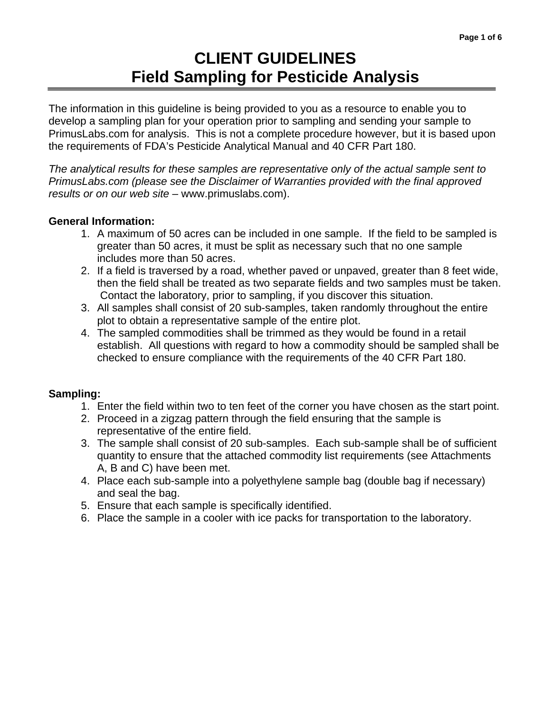# **CLIENT GUIDELINES Field Sampling for Pesticide Analysis**

The information in this guideline is being provided to you as a resource to enable you to develop a sampling plan for your operation prior to sampling and sending your sample to PrimusLabs.com for analysis. This is not a complete procedure however, but it is based upon the requirements of FDA's Pesticide Analytical Manual and 40 CFR Part 180.

*The analytical results for these samples are representative only of the actual sample sent to PrimusLabs.com (please see the Disclaimer of Warranties provided with the final approved results or on our web site* – www.primuslabs.com).

### **General Information:**

- 1. A maximum of 50 acres can be included in one sample. If the field to be sampled is greater than 50 acres, it must be split as necessary such that no one sample includes more than 50 acres.
- 2. If a field is traversed by a road, whether paved or unpaved, greater than 8 feet wide, then the field shall be treated as two separate fields and two samples must be taken. Contact the laboratory, prior to sampling, if you discover this situation.
- 3. All samples shall consist of 20 sub-samples, taken randomly throughout the entire plot to obtain a representative sample of the entire plot.
- 4. The sampled commodities shall be trimmed as they would be found in a retail establish. All questions with regard to how a commodity should be sampled shall be checked to ensure compliance with the requirements of the 40 CFR Part 180.

### **Sampling:**

- 1. Enter the field within two to ten feet of the corner you have chosen as the start point.
- 2. Proceed in a zigzag pattern through the field ensuring that the sample is representative of the entire field.
- 3. The sample shall consist of 20 sub-samples. Each sub-sample shall be of sufficient quantity to ensure that the attached commodity list requirements (see Attachments A, B and C) have been met.
- 4. Place each sub-sample into a polyethylene sample bag (double bag if necessary) and seal the bag.
- 5. Ensure that each sample is specifically identified.
- 6. Place the sample in a cooler with ice packs for transportation to the laboratory.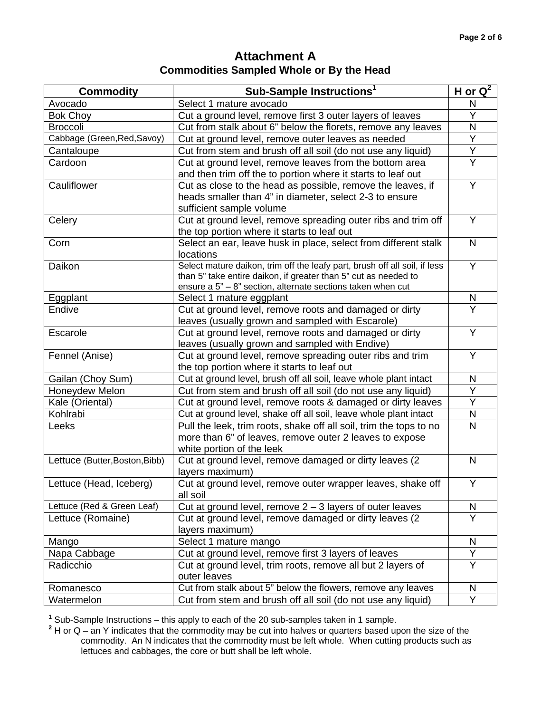### **Attachment A Commodities Sampled Whole or By the Head**

| <b>Commodity</b>               | Sub-Sample Instructions <sup>1</sup>                                       | H or $\overline{Q^2}$   |
|--------------------------------|----------------------------------------------------------------------------|-------------------------|
| Avocado                        | Select 1 mature avocado                                                    | N                       |
| <b>Bok Choy</b>                | Cut a ground level, remove first 3 outer layers of leaves                  | Y                       |
| <b>Broccoli</b>                | Cut from stalk about 6" below the florets, remove any leaves               | N                       |
| Cabbage (Green, Red, Savoy)    | Cut at ground level, remove outer leaves as needed                         | Y                       |
| Cantaloupe                     | Cut from stem and brush off all soil (do not use any liquid)               | Υ                       |
| Cardoon                        | Cut at ground level, remove leaves from the bottom area                    | $\overline{Y}$          |
|                                | and then trim off the to portion where it starts to leaf out               |                         |
| Cauliflower                    | Cut as close to the head as possible, remove the leaves, if                | Y                       |
|                                | heads smaller than 4" in diameter, select 2-3 to ensure                    |                         |
|                                | sufficient sample volume                                                   |                         |
| Celery                         | Cut at ground level, remove spreading outer ribs and trim off              | Y                       |
|                                | the top portion where it starts to leaf out                                |                         |
| Corn                           | Select an ear, leave husk in place, select from different stalk            | N                       |
|                                | locations                                                                  |                         |
| Daikon                         | Select mature daikon, trim off the leafy part, brush off all soil, if less | Y                       |
|                                | than 5" take entire daikon, if greater than 5" cut as needed to            |                         |
|                                | ensure a $5" - 8"$ section, alternate sections taken when cut              |                         |
| Eggplant                       | Select 1 mature eggplant                                                   | N                       |
| Endive                         | Cut at ground level, remove roots and damaged or dirty                     | $\overline{\mathsf{Y}}$ |
|                                | leaves (usually grown and sampled with Escarole)                           |                         |
| Escarole                       | Cut at ground level, remove roots and damaged or dirty                     | Y                       |
|                                | leaves (usually grown and sampled with Endive)                             |                         |
| Fennel (Anise)                 | Cut at ground level, remove spreading outer ribs and trim                  | Y                       |
|                                | the top portion where it starts to leaf out                                |                         |
| Gailan (Choy Sum)              | Cut at ground level, brush off all soil, leave whole plant intact          | N                       |
| Honeydew Melon                 | Cut from stem and brush off all soil (do not use any liquid)               | $\overline{Y}$          |
| Kale (Oriental)                | Cut at ground level, remove roots & damaged or dirty leaves                | Y                       |
| Kohlrabi                       | Cut at ground level, shake off all soil, leave whole plant intact          | N                       |
| Leeks                          | Pull the leek, trim roots, shake off all soil, trim the tops to no         | $\mathsf{N}$            |
|                                | more than 6" of leaves, remove outer 2 leaves to expose                    |                         |
|                                | white portion of the leek                                                  |                         |
| Lettuce (Butter, Boston, Bibb) | Cut at ground level, remove damaged or dirty leaves (2                     | N                       |
|                                | layers maximum)                                                            |                         |
| Lettuce (Head, Iceberg)        | Cut at ground level, remove outer wrapper leaves, shake off                | Y                       |
|                                | all soil                                                                   |                         |
| Lettuce (Red & Green Leaf)     | Cut at ground level, remove $2 - 3$ layers of outer leaves                 | N                       |
| Lettuce (Romaine)              | Cut at ground level, remove damaged or dirty leaves (2)                    | Y                       |
|                                | layers maximum)                                                            |                         |
| Mango                          | Select 1 mature mango                                                      | N                       |
| Napa Cabbage                   | Cut at ground level, remove first 3 layers of leaves                       | Υ                       |
| Radicchio                      | Cut at ground level, trim roots, remove all but 2 layers of                | Y                       |
|                                | outer leaves                                                               |                         |
| Romanesco                      | Cut from stalk about 5" below the flowers, remove any leaves               | N                       |
| Watermelon                     | Cut from stem and brush off all soil (do not use any liquid)               | Y                       |

**1** Sub-Sample Instructions – this apply to each of the 20 sub-samples taken in 1 sample. **2** H or Q – an Y indicates that the commodity may be cut into halves or quarters based upon the size of the commodity. An N indicates that the commodity must be left whole. When cutting products such as lettuces and cabbages, the core or butt shall be left whole.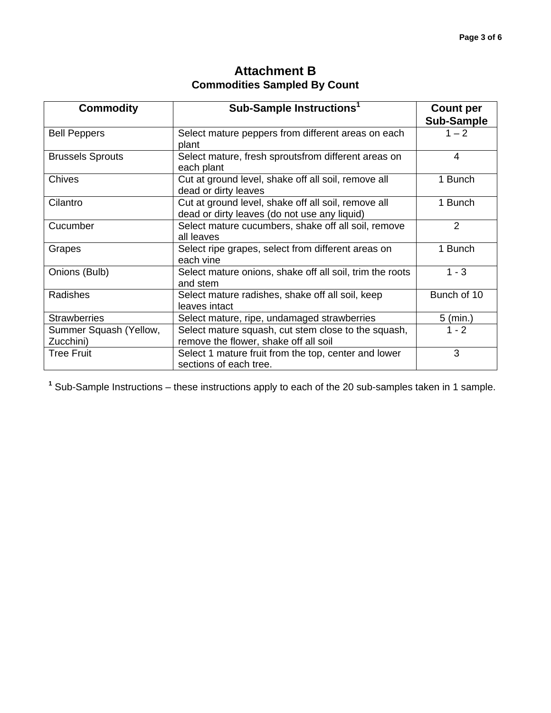## **Attachment B Commodities Sampled By Count**

| <b>Commodity</b>                    | Sub-Sample Instructions <sup>1</sup>                                                                | <b>Count per</b><br><b>Sub-Sample</b> |
|-------------------------------------|-----------------------------------------------------------------------------------------------------|---------------------------------------|
| <b>Bell Peppers</b>                 | Select mature peppers from different areas on each<br>plant                                         | $1 - 2$                               |
| <b>Brussels Sprouts</b>             | Select mature, fresh sproutsfrom different areas on<br>each plant                                   | 4                                     |
| <b>Chives</b>                       | Cut at ground level, shake off all soil, remove all<br>dead or dirty leaves                         | 1 Bunch                               |
| Cilantro                            | Cut at ground level, shake off all soil, remove all<br>dead or dirty leaves (do not use any liquid) | 1 Bunch                               |
| Cucumber                            | Select mature cucumbers, shake off all soil, remove<br>all leaves                                   | $\overline{2}$                        |
| Grapes                              | Select ripe grapes, select from different areas on<br>each vine                                     | 1 Bunch                               |
| Onions (Bulb)                       | Select mature onions, shake off all soil, trim the roots<br>and stem                                | $1 - 3$                               |
| Radishes                            | Select mature radishes, shake off all soil, keep<br>leaves intact                                   | Bunch of 10                           |
| <b>Strawberries</b>                 | Select mature, ripe, undamaged strawberries                                                         | $5$ (min.)                            |
| Summer Squash (Yellow,<br>Zucchini) | Select mature squash, cut stem close to the squash,<br>remove the flower, shake off all soil        | $1 - 2$                               |
| <b>Tree Fruit</b>                   | Select 1 mature fruit from the top, center and lower<br>sections of each tree.                      | 3                                     |

**1** Sub-Sample Instructions – these instructions apply to each of the 20 sub-samples taken in 1 sample.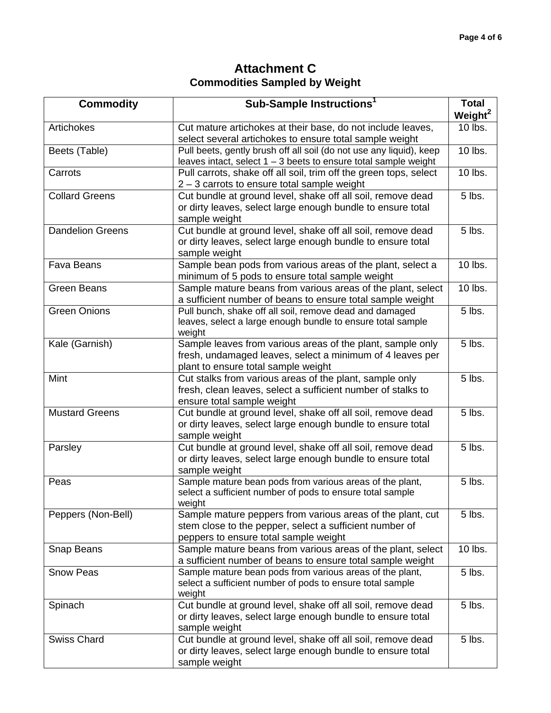# **Attachment C Commodities Sampled by Weight**

| <b>Commodity</b>        | Sub-Sample Instructions <sup>1</sup>                                 | <b>Total</b><br>Weight <sup>2</sup> |
|-------------------------|----------------------------------------------------------------------|-------------------------------------|
| Artichokes              | Cut mature artichokes at their base, do not include leaves,          | 10 lbs.                             |
|                         | select several artichokes to ensure total sample weight              |                                     |
| Beets (Table)           | Pull beets, gently brush off all soil (do not use any liquid), keep  | 10 lbs.                             |
|                         | leaves intact, select $1 - 3$ beets to ensure total sample weight    |                                     |
| Carrots                 | Pull carrots, shake off all soil, trim off the green tops, select    | 10 lbs.                             |
|                         | 2 - 3 carrots to ensure total sample weight                          |                                     |
| <b>Collard Greens</b>   | Cut bundle at ground level, shake off all soil, remove dead          | 5 lbs.                              |
|                         | or dirty leaves, select large enough bundle to ensure total          |                                     |
|                         | sample weight                                                        |                                     |
| <b>Dandelion Greens</b> | Cut bundle at ground level, shake off all soil, remove dead          | 5 lbs.                              |
|                         | or dirty leaves, select large enough bundle to ensure total          |                                     |
|                         | sample weight                                                        |                                     |
| Fava Beans              | Sample bean pods from various areas of the plant, select a           | 10 lbs.                             |
|                         | minimum of 5 pods to ensure total sample weight                      |                                     |
| <b>Green Beans</b>      | Sample mature beans from various areas of the plant, select          | 10 lbs.                             |
|                         | a sufficient number of beans to ensure total sample weight           |                                     |
| <b>Green Onions</b>     | Pull bunch, shake off all soil, remove dead and damaged              | 5 lbs.                              |
|                         | leaves, select a large enough bundle to ensure total sample          |                                     |
|                         | weight                                                               |                                     |
| Kale (Garnish)          | Sample leaves from various areas of the plant, sample only           | 5 lbs.                              |
|                         | fresh, undamaged leaves, select a minimum of 4 leaves per            |                                     |
|                         | plant to ensure total sample weight                                  |                                     |
| Mint                    | Cut stalks from various areas of the plant, sample only              | 5 lbs.                              |
|                         | fresh, clean leaves, select a sufficient number of stalks to         |                                     |
|                         | ensure total sample weight                                           |                                     |
| <b>Mustard Greens</b>   | Cut bundle at ground level, shake off all soil, remove dead          | 5 lbs.                              |
|                         | or dirty leaves, select large enough bundle to ensure total          |                                     |
|                         | sample weight                                                        |                                     |
| Parsley                 | Cut bundle at ground level, shake off all soil, remove dead          | 5 lbs.                              |
|                         | or dirty leaves, select large enough bundle to ensure total          |                                     |
|                         | sample weight                                                        |                                     |
| Peas                    | Sample mature bean pods from various areas of the plant,             | 5 lbs.                              |
|                         | select a sufficient number of pods to ensure total sample            |                                     |
|                         | weight<br>Sample mature peppers from various areas of the plant, cut | 5 lbs.                              |
| Peppers (Non-Bell)      | stem close to the pepper, select a sufficient number of              |                                     |
|                         | peppers to ensure total sample weight                                |                                     |
| Snap Beans              | Sample mature beans from various areas of the plant, select          | 10 lbs.                             |
|                         | a sufficient number of beans to ensure total sample weight           |                                     |
| <b>Snow Peas</b>        | Sample mature bean pods from various areas of the plant,             | 5 lbs.                              |
|                         | select a sufficient number of pods to ensure total sample            |                                     |
|                         | weight                                                               |                                     |
| Spinach                 | Cut bundle at ground level, shake off all soil, remove dead          | 5 lbs.                              |
|                         | or dirty leaves, select large enough bundle to ensure total          |                                     |
|                         | sample weight                                                        |                                     |
| <b>Swiss Chard</b>      | Cut bundle at ground level, shake off all soil, remove dead          | 5 lbs.                              |
|                         | or dirty leaves, select large enough bundle to ensure total          |                                     |
|                         | sample weight                                                        |                                     |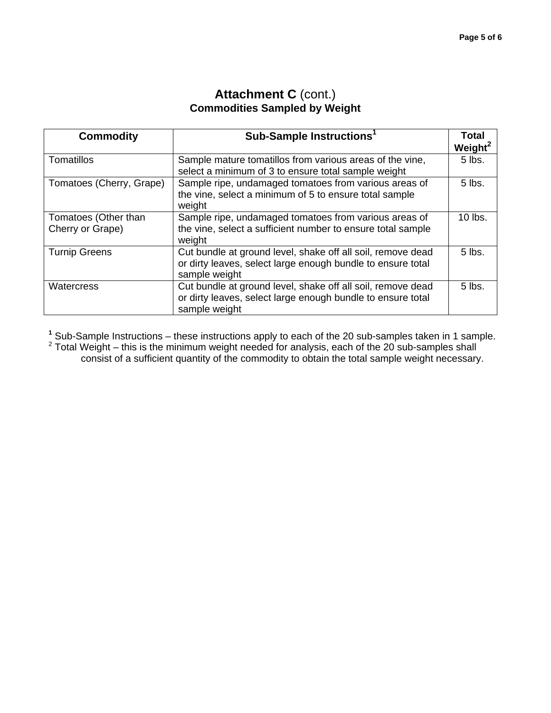## Attachment C (cont.) **Commodities Sampled by Weight**

| <b>Commodity</b>         | Sub-Sample Instructions <sup>1</sup>                                                                                                        | <b>Total</b><br>Weight <sup>2</sup> |
|--------------------------|---------------------------------------------------------------------------------------------------------------------------------------------|-------------------------------------|
| Tomatillos               | Sample mature tomatillos from various areas of the vine,<br>select a minimum of 3 to ensure total sample weight                             | $5$ lbs.                            |
| Tomatoes (Cherry, Grape) | Sample ripe, undamaged tomatoes from various areas of<br>the vine, select a minimum of 5 to ensure total sample<br>weight                   | $5$ lbs.                            |
| Tomatoes (Other than     | Sample ripe, undamaged tomatoes from various areas of                                                                                       | 10 lbs.                             |
| Cherry or Grape)         | the vine, select a sufficient number to ensure total sample<br>weight                                                                       |                                     |
| <b>Turnip Greens</b>     | Cut bundle at ground level, shake off all soil, remove dead<br>or dirty leaves, select large enough bundle to ensure total<br>sample weight | 5 lbs.                              |
| Watercress               | Cut bundle at ground level, shake off all soil, remove dead<br>or dirty leaves, select large enough bundle to ensure total<br>sample weight | $5$ lbs.                            |

<sup>1</sup> Sub-Sample Instructions – these instructions apply to each of the 20 sub-samples taken in 1 sample.<br><sup>2</sup> Total Weight – this is the minimum weight needed for analysis, each of the 20 sub-samples shall

consist of a sufficient quantity of the commodity to obtain the total sample weight necessary.